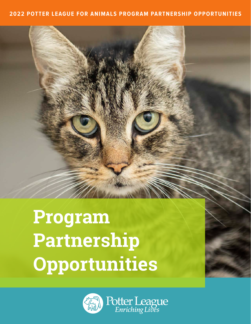#### **2022 POTTER LEAGUE FOR ANIMALS PROGRAM PARTNERSHIP OPPORTUNITIES**

# **Program Partnership Opportunities**

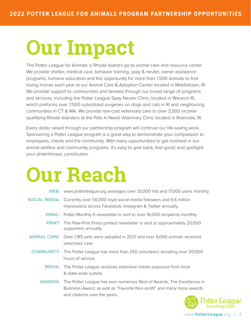# **Our Impact**

The Potter League for Animals is Rhode Island's go-to animal care and resource center. We provide shelter, medical care, behavior training, spay & neuter, owner assistance programs, humane education and the opportunity for more than 1,500 animals to find loving homes each year at our Animal Care & Adoption Center located in Middletown, RI. We provide support to communities and families through our broad range of programs and services, including the Potter League Spay Neuter Clinic, located in Warwick RI, which preforms over 7,500 subsidized surgeries on dogs and cats in RI and neighboring communities in CT & MA. We provide low-cost veterinary care to over 3,500 incomequalifying Rhode Islanders at the Pets In Need Veterinary Clinic located in Riverside, RI.

Every dollar raised through our partnership program will continue our life-saving work. Sponsoring a Potter League program is a great way to demonstrate your compassion to employees, clients and the community. With many opportunities to get involved in our animal welfare and community programs, it's easy to give back, feel good, and spotlight your philanthropic contribution.

# **Our Reach**

| <b>WEB:</b> www.potterleague.org averages over 33,000 hits and 17,000 users monthly.                                                                                                          |
|-----------------------------------------------------------------------------------------------------------------------------------------------------------------------------------------------|
| <b>SOCIAL MEDIA:</b> Currently over 56,000 loyal social media followers and 6.6 million<br>impressions across Facebook, Instagram & Twitter annually.                                         |
| <b>EMAIL:</b> Potter Monthly E-newsletter is sent to over 16,000 recipients monthly.                                                                                                          |
| <b>PRINT:</b> The Paw-Print Press printed newsletter is sent to approximately 20,000<br>supporters annually.                                                                                  |
| <b>ANIMAL CARE:</b> Over 1,185 pets were adopted in 2021 and over 9,000 animals received<br>veterinary care.                                                                                  |
| <b>COMMUNITY:</b> The Potter League has more than 250 volunteers donating over 20,000<br>hours of service.                                                                                    |
| <b>MEDIA:</b> The Potter League receives extensive media exposure from local<br>& state-wide outlets.                                                                                         |
| <b>AWARDS:</b> The Potter League has won numerous Best of Awards, The Excellence in<br>Business Award, as well as "Favorite Non-profit" and many more awards<br>and citations over the years. |

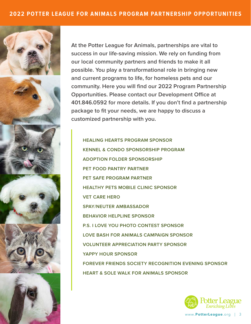









**At the Potter League for Animals, partnerships are vital to success in our life-saving mission. We rely on funding from our local community partners and friends to make it all possible. You play a transformational role in bringing new and current programs to life, for homeless pets and our community. Here you will find our 2022 Program Partnership Opportunities. Please contact our Development Office at 401.846.0592 for more details. If you don't find a partnership package to fit your needs, we are happy to discuss a customized partnership with you.**

**HEALING HEARTS PROGRAM SPONSOR KENNEL & CONDO SPONSORSHIP PROGRAM ADOPTION FOLDER SPONSORSHIP PET FOOD PANTRY PARTNER PET SAFE PROGRAM PARTNER HEALTHY PETS MOBILE CLINIC SPONSOR VET CARE HERO SPAY/NEUTER AMBASSADOR BEHAVIOR HELPLINE SPONSOR P.S. I LOVE YOU PHOTO CONTEST SPONSOR LOVE BASH FOR ANIMALS CAMPAIGN SPONSOR VOLUNTEER APPRECIATION PARTY SPONSOR YAPPY HOUR SPONSOR FOREVER FRIENDS SOCIETY RECOGNITION EVENING SPONSOR HEART & SOLE WALK FOR ANIMALS SPONSOR**



www.**PotterLeague**.org | 3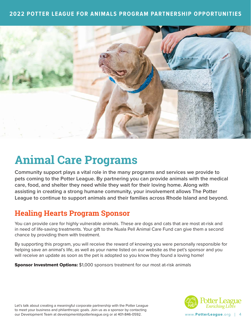#### **2022 POTTER LEAGUE FOR ANIMALS PROGRAM PARTNERSHIP OPPORTUNITIES**



## **Animal Care Programs**

**Community support plays a vital role in the many programs and services we provide to pets coming to the Potter League. By partnering you can provide animals with the medical care, food, and shelter they need while they wait for their loving home. Along with assisting in creating a strong humane community, your involvement allows The Potter League to continue to support animals and their families across Rhode Island and beyond.**

#### **Healing Hearts Program Sponsor**

You can provide care for highly vulnerable animals. These are dogs and cats that are most at-risk and in need of life-saving treatments. Your gift to the Nuala Pell Animal Care Fund can give them a second chance by providing them with treatment.

By supporting this program, you will receive the reward of knowing you were personally responsible for helping save an animal's life, as well as your name listed on our website as the pet's sponsor and you will receive an update as soon as the pet is adopted so you know they found a loving home!

**Sponsor Investment Options:** \$1,000 sponsors treatment for our most at-risk animals

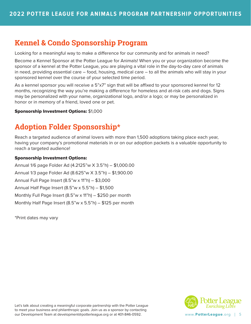## **Kennel & Condo Sponsorship Program**

Looking for a meaningful way to make a difference for our community and for animals in need?

Become a Kennel Sponsor at the Potter League for Animals! When you or your organization become the sponsor of a kennel at the Potter League, you are playing a vital role in the day-to-day care of animals in need, providing essential care – food, housing, medical care – to all the animals who will stay in your sponsored kennel over the course of your selected time period.

As a kennel sponsor you will receive a 5"x7" sign that will be affixed to your sponsored kennel for 12 months, recognizing the way you're making a difference for homeless and at-risk cats and dogs. Signs may be personalized with your name, organizational logo, and/or a logo; or may be personalized in honor or in memory of a friend, loved one or pet.

#### Sponsorship Investment Options: \$1,000

## **Adoption Folder Sponsorship\***

Reach a targeted audience of animal lovers with more than 1,500 adoptions taking place each year, having your company's promotional materials in or on our adoption packets is a valuable opportunity to reach a targeted audience!

#### Sponsorship Investment Options:

Annual 1/6 page Folder Ad (4.2125"w X 3.5"h) – \$1,000.00 Annual 1/3 page Folder Ad (8.625"w X 3.5"h) – \$1,900.00 Annual Full Page Insert (8.5"w x 11"h) – \$3,000 Annual Half Page Insert (8.5"w x 5.5"h) – \$1,500 Monthly Full Page Insert (8.5"w x 11"h) – \$250 per month Monthly Half Page Insert  $(8.5"w \times 5.5"h) - $125$  per month

\*Print dates may vary

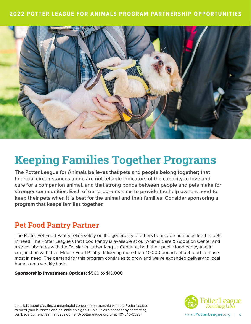

## **Keeping Families Together Programs**

**The Potter League for Animals believes that pets and people belong together; that financial circumstances alone are not reliable indicators of the capacity to love and care for a companion animal, and that strong bonds between people and pets make for stronger communities. Each of our programs aims to provide the help owners need to keep their pets when it is best for the animal and their families. Consider sponsoring a program that keeps families together.**

#### **Pet Food Pantry Partner**

The Potter Pet Food Pantry relies solely on the generosity of others to provide nutritious food to pets in need. The Potter League's Pet Food Pantry is available at our Animal Care & Adoption Center and also collaborates with the Dr. Martin Luther King Jr. Center at both their public food pantry and in conjunction with their Mobile Food Pantry delivering more than 40,000 pounds of pet food to those most in need. The demand for this program continues to grow and we've expanded delivery to local homes on a weekly basis.

#### Sponsorship Investment Options: \$500 to \$10,000

Let's talk about creating a meaningful corporate partnership with the Potter League to meet your business and philanthropic goals. Join us as a sponsor by contacting our Development Team at development@potterleague.org or at 401-846-0592.



www.**PotterLeague**.org | 6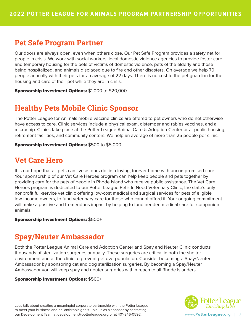#### **Pet Safe Program Partner**

Our doors are always open, even when others close. Our Pet Safe Program provides a safety net for people in crisis. We work with social workers, local domestic violence agencies to provide foster care and temporary housing for the pets of victims of domestic violence, pets of the elderly and those being hospitalized, and animals displaced due to fire and other disasters. On average we help 70 people annually with their pets for an average of 22 days. There is no cost to the pet guardian for the housing and care of their pet while they are in crisis.

Sponsorship Investment Options: \$1,000 to \$20,000

## **Healthy Pets Mobile Clinic Sponsor**

The Potter League for Animals mobile vaccine clinics are offered to pet owners who do not otherwise have access to care. Clinic services include a physical exam, distemper and rabies vaccines, and a microchip. Clinics take place at the Potter League Animal Care & Adoption Center or at public housing, retirement facilities, and community centers. We help an average of more than 25 people per clinic.

Sponsorship Investment Options: \$500 to \$5,000

#### **Vet Care Hero**

It is our hope that all pets can live as ours do; in a loving, forever home with uncompromised care. Your sponsorship of our Vet Care Heroes program can help keep people and pets together by providing care for the pets of people in Rhode Island who receive public assistance. The Vet Care Heroes program is dedicated to our Potter League Pet's In Need Veterinary Clinic, the state's only nonprofit full-service vet clinic offering low-cost medical and surgical services for pets of eligible low-income owners, to fund veterinary care for those who cannot afford it. Your ongoing commitment will make a positive and tremendous impact by helping to fund needed medical care for companion animals.

Sponsorship Investment Options: \$500+

## **Spay/Neuter Ambassador**

Both the Potter League Animal Care and Adoption Center and Spay and Neuter Clinic conducts thousands of sterilization surgeries annually. These surgeries are critical in both the shelter environment and at the clinic to prevent pet overpopulation. Consider becoming a Spay/Neuter Ambassador by sponsoring cat and dog sterilization surgeries. By becoming a Spay/Neuter Ambassador you will keep spay and neuter surgeries within reach to all Rhode Islanders.

#### Sponsorship Investment Options: \$500+

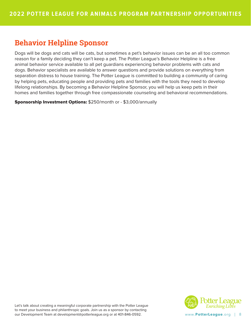### **Behavior Helpline Sponsor**

Dogs will be dogs and cats will be cats, but sometimes a pet's behavior issues can be an all too common reason for a family deciding they can't keep a pet. The Potter League's Behavior Helpline is a free animal behavior service available to all pet guardians experiencing behavior problems with cats and dogs. Behavior specialists are available to answer questions and provide solutions on everything from separation distress to house training. The Potter League is committed to building a community of caring by helping pets, educating people and providing pets and families with the tools they need to develop lifelong relationships. By becoming a Behavior Helpline Sponsor, you will help us keep pets in their homes and families together through free compassionate counseling and behavioral recommendations.

Sponsorship Investment Options: \$250/month or - \$3,000/annually

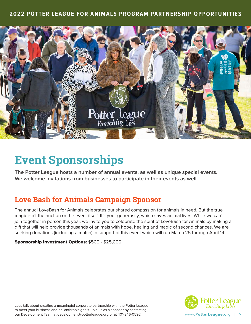

## **Event Sponsorships**

**The Potter League hosts a number of annual events, as well as unique special events. We welcome invitations from businesses to participate in their events as well.** 

## **Love Bash for Animals Campaign Sponsor**

The annual LoveBash for Animals celebrates our shared compassion for animals in need. But the true magic isn't the auction or the event itself. It's your generosity, which saves animal lives. While we can't join together in person this year, we invite you to celebrate the spirit of LoveBash for Animals by making a gift that will help provide thousands of animals with hope, healing and magic of second chances. We are seeking donations (including a match) in support of this event which will run March 25 through April 14.

#### Sponsorship Investment Options: \$500 - \$25,000

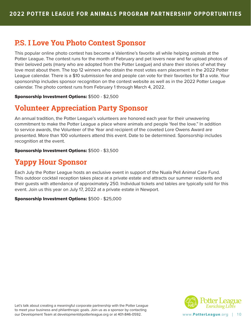#### **P.S. I Love You Photo Contest Sponsor**

This popular online photo contest has become a Valentine's favorite all while helping animals at the Potter League. The contest runs for the month of February and pet lovers near and far upload photos of their beloved pets (many who are adopted from the Potter League) and share their stories of what they love most about them. The top 12 winners who obtain the most votes earn placement in the 2022 Potter League calendar. There is a \$10 submission fee and people can vote for their favorites for \$1 a vote. Your sponsorship includes sponsor recognition on the contest website as well as in the 2022 Potter League calendar. The photo contest runs from February 1 through March 4, 2022.

Sponsorship Investment Options: \$500 - \$2,500

#### **Volunteer Appreciation Party Sponsor**

An annual tradition, the Potter League's volunteers are honored each year for their unwavering commitment to make the Potter League a place where animals and people 'feel the love." In addition to service awards, the Volunteer of the Year and recipient of the coveted Lore Owens Award are presented. More than 100 volunteers attend this event. Date to be determined. Sponsorship includes recognition at the event.

Sponsorship Investment Options: \$500 - \$3,500

## **Yappy Hour Sponsor**

Each July the Potter League hosts an exclusive event in support of the Nuala Pell Animal Care Fund. This outdoor cocktail reception takes place at a private estate and attracts our summer residents and their guests with attendance of approximately 250. Individual tickets and tables are typically sold for this event. Join us this year on July 17, 2022 at a private estate in Newport.

Sponsorship Investment Options: \$500 - \$25,000

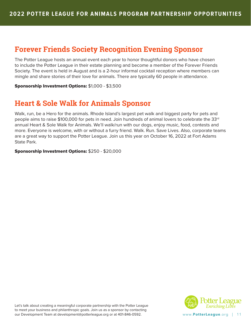### **Forever Friends Society Recognition Evening Sponsor**

The Potter League hosts an annual event each year to honor thoughtful donors who have chosen to include the Potter League in their estate planning and become a member of the Forever Friends Society. The event is held in August and is a 2-hour informal cocktail reception where members can mingle and share stories of their love for animals. There are typically 60 people in attendance.

Sponsorship Investment Options: \$1,000 - \$3,500

### **Heart & Sole Walk for Animals Sponsor**

Walk, run, be a Hero for the animals. Rhode Island's largest pet walk and biggest party for pets and people aims to raise \$100,000 for pets in need. Join hundreds of animal lovers to celebrate the 33rd annual Heart & Sole Walk for Animals. We'll walk/run with our dogs, enjoy music, food, contests and more. Everyone is welcome, with or without a furry friend. Walk. Run. Save Lives. Also, corporate teams are a great way to support the Potter League. Join us this year on October 16, 2022 at Fort Adams State Park.

Sponsorship Investment Options: \$250 - \$20,000

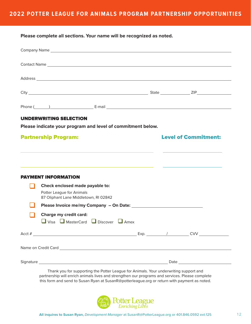**Please complete all sections. Your name will be recognized as noted.**

|                             | Contact Name Lawrence and the contract of the contract of the contract of the contract Name Lawrence and the contract of the contract of the contract of the contract of the contract of the contract of the contract of the c       |  |                             |  |  |
|-----------------------------|--------------------------------------------------------------------------------------------------------------------------------------------------------------------------------------------------------------------------------------|--|-----------------------------|--|--|
|                             | Address and the contract of the contract of the contract of the contract of the contract of the contract of the contract of the contract of the contract of the contract of the contract of the contract of the contract of th       |  |                             |  |  |
|                             |                                                                                                                                                                                                                                      |  |                             |  |  |
|                             |                                                                                                                                                                                                                                      |  |                             |  |  |
|                             | <b>UNDERWRITING SELECTION</b>                                                                                                                                                                                                        |  |                             |  |  |
|                             | Please indicate your program and level of commitment below.                                                                                                                                                                          |  |                             |  |  |
| <b>Partnership Program:</b> |                                                                                                                                                                                                                                      |  | <b>Level of Commitment:</b> |  |  |
|                             |                                                                                                                                                                                                                                      |  |                             |  |  |
|                             |                                                                                                                                                                                                                                      |  |                             |  |  |
|                             | <u> 1989 - Johann Stoff, deutscher Stoffen und der Stoffen und der Stoffen und der Stoffen und der Stoffen und de</u><br><b>PAYMENT INFORMATION</b>                                                                                  |  |                             |  |  |
|                             | Check enclosed made payable to:                                                                                                                                                                                                      |  |                             |  |  |
|                             | Potter League for Animals<br>87 Oliphant Lane Middletown, RI 02842                                                                                                                                                                   |  |                             |  |  |
|                             |                                                                                                                                                                                                                                      |  |                             |  |  |
|                             | Charge my credit card:<br>$\Box$ Visa $\Box$ MasterCard $\Box$ Discover $\Box$ Amex                                                                                                                                                  |  |                             |  |  |
|                             |                                                                                                                                                                                                                                      |  |                             |  |  |
|                             | Name on Credit Card <u>example and the series of the series of the series of the series of the series of the series of the series of the series of the series of the series of the series of the series of the series of the ser</u> |  |                             |  |  |
|                             |                                                                                                                                                                                                                                      |  |                             |  |  |
|                             | Thank you for supporting the Potter League for Animals. Your underwriting support and                                                                                                                                                |  |                             |  |  |

partnership will enrich animals lives and strengthen our programs and services. Please complete this form and send to Susan Ryan at SusanR@potterleague.org or return with payment as noted.